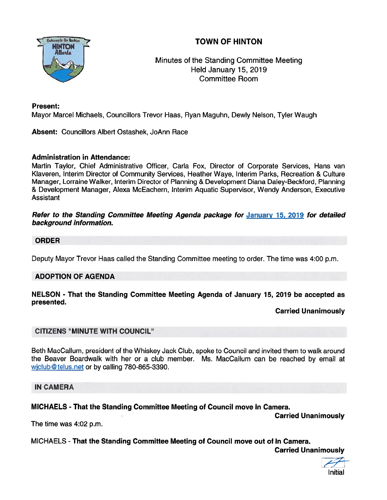# TOWN OF HINTON



# Minutes of the Standing Committee Meeting Held January 15, 2019 Committee Room

#### Present:

Mayor Marcel Michaels, Councillors Trevor Haas, Ryan Maguhn, Dewly Nelson, Tyler Waugh

Absent: Councillors Albert Ostashek, JoAnn Race

#### Administration in Attendance:

Martin Taylor, Chief Administrative Officer, Carla Fox, Director of Corporate Services, Hans van Klaveren, Interim Director of Community Services, Heather Waye, Interim Parks, Recreation & Culture Manager, Lorraine Walker, Interim Director of Planning & Development Diana Daley-Beckford, Planning & Development Manager, Alexa McEachern, Interim Aquatic Supervisor, Wendy Anderson, Executive Assistant

#### Refer to the Standing Committee Meeting Agenda package for January 15, 2019 for detailed background information.

#### ORDER

Deputy Mayor Trevor Haas called the Standing Committee meeting to order. The time was 4:00 p.m.

## ADOPTION OF AGENDA

NELSON - That the Standing Committee Meeting Agenda of January 15, 2019 be accepted as presented.

Carried Unanimously

## CITIZENS "MINUTE WITH COUNCIL"

Beth MacCallum, president of the Whiskey Jack Club, spoke to Council and invited them to walk around the Beaver Boardwalk with her or <sup>a</sup> club member. Ms. MacCallum can be reached by email at wjclub@telus.net or by calling 780-865-3390.

#### IN CAMERA

MICHAELS - That the Standing Committee Meeting of Council move In Camera.

Carried Unanimously

The time was 4:02 p.m.

MICHAELS -That the Standing Committee Meeting of Council move out of In Camera.

Carried Unanimously

Initial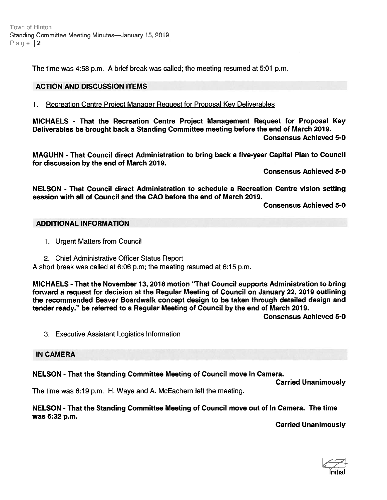The time was 4:58 p.m. A brief break was called; the meeting resumed at 5:01 p.m.

#### ACTION AND DISCUSSION ITEMS

1. Recreation Centre Project Manager Request for Proposal Key Deliverables

MICHAELS - That the Recreation Centre Project Management Request for Proposal Key Deliverables be brought back <sup>a</sup> Standing Committee meeting before the end of March 2019. Consensus Achieved 5-0

MAGUHN - That Council direct Administration to bring back <sup>a</sup> five-year Capital Plan to Council for discussion by the end of March 2019.

Consensus Achieved 5-0

NELSON - That Council direct Administration to schedule <sup>a</sup> Recreation Centre vision setting session with all of Council and the CAO before the end of March 2019.

Consensus Achieved 5-0

#### ADDITIONAL INFORMATION

- 1. Urgent Matters from Council
- 2. Chief Administrative Officer Status Report

A short break was called at 6:06 p.m; the meeting resumed at 6:15 p.m.

MICHAELS - That the November 13, 2018 motion "That Council supports Administration to bring forward <sup>a</sup> reques<sup>t</sup> for decision at the Regular Meeting of Council on January 22, 2019 outlining the recommended Beaver Boardwalk concep<sup>t</sup> design to be taken through detailed design and tender ready." be referred to <sup>a</sup> Regular Meeting of Council by the end of March 2019.

Consensus Achieved 5-0

3. Executive Assistant Logistics Information

#### IN CAMERA

## NELSON - That the Standing Committee Meeting of Council move In Camera.

Carried Unanimously

The time was 6:19 p.m. H. Waye and A. McEachern left the meeting.

#### NELSON - That the Standing Committee Meeting of Council move out of In Camera. The time was 6:32 p.m.

Carried Unanimously